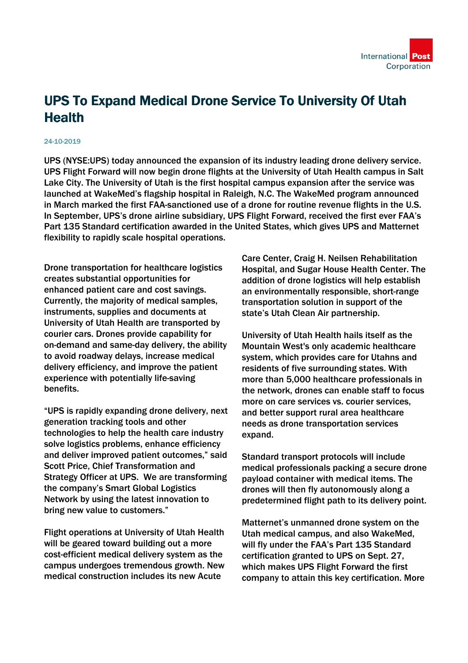

## UPS To Expand Medical Drone Service To University Of Utah **Health**

## 24-10-2019

UPS (NYSE:UPS) today announced the expansion of its industry leading drone delivery service. UPS Flight Forward will now begin drone flights at the University of Utah Health campus in Salt Lake City. The University of Utah is the first hospital campus expansion after the service was launched at WakeMed's flagship hospital in Raleigh, N.C. The WakeMed program announced in March marked the first FAA-sanctioned use of a drone for routine revenue flights in the U.S. In September, UPS's drone airline subsidiary, UPS Flight Forward, received the first ever FAA's Part 135 Standard certification awarded in the United States, which gives UPS and Matternet flexibility to rapidly scale hospital operations.

Drone transportation for healthcare logistics creates substantial opportunities for enhanced patient care and cost savings. Currently, the majority of medical samples, instruments, supplies and documents at University of Utah Health are transported by courier cars. Drones provide capability for on-demand and same-day delivery, the ability to avoid roadway delays, increase medical delivery efficiency, and improve the patient experience with potentially life-saving benefits.

"UPS is rapidly expanding drone delivery, next generation tracking tools and other technologies to help the health care industry solve logistics problems, enhance efficiency and deliver improved patient outcomes," said Scott Price, Chief Transformation and Strategy Officer at UPS. We are transforming the company's Smart Global Logistics Network by using the latest innovation to bring new value to customers."

Flight operations at University of Utah Health will be geared toward building out a more cost-efficient medical delivery system as the campus undergoes tremendous growth. New medical construction includes its new Acute

Care Center, Craig H. Neilsen Rehabilitation Hospital, and Sugar House Health Center. The addition of drone logistics will help establish an environmentally responsible, short-range transportation solution in support of the state's Utah Clean Air partnership.

University of Utah Health hails itself as the Mountain West's only academic healthcare system, which provides care for Utahns and residents of five surrounding states. With more than 5,000 healthcare professionals in the network, drones can enable staff to focus more on care services vs. courier services, and better support rural area healthcare needs as drone transportation services expand.

Standard transport protocols will include medical professionals packing a secure drone payload container with medical items. The drones will then fly autonomously along a predetermined flight path to its delivery point.

Matternet's unmanned drone system on the Utah medical campus, and also WakeMed, will fly under the FAA's Part 135 Standard certification granted to UPS on Sept. 27, which makes UPS Flight Forward the first company to attain this key certification. More